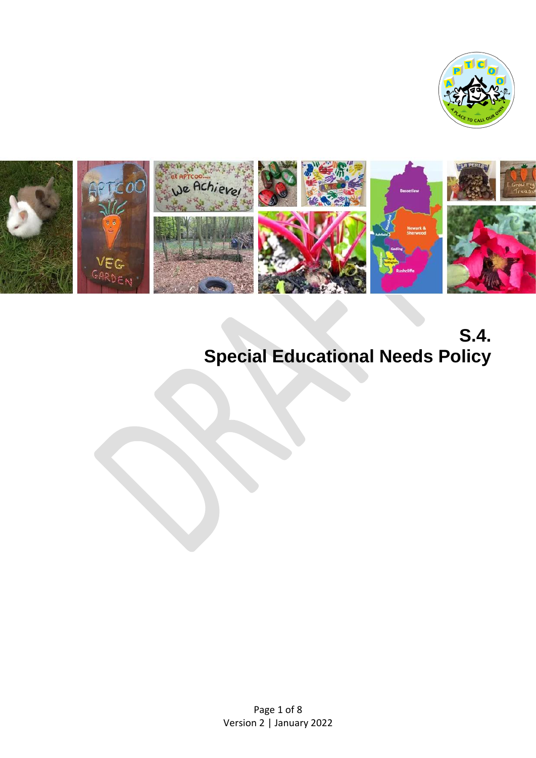



**S.4. Special Educational Needs Policy**

Page 1 of 8 Version 2 | January 2022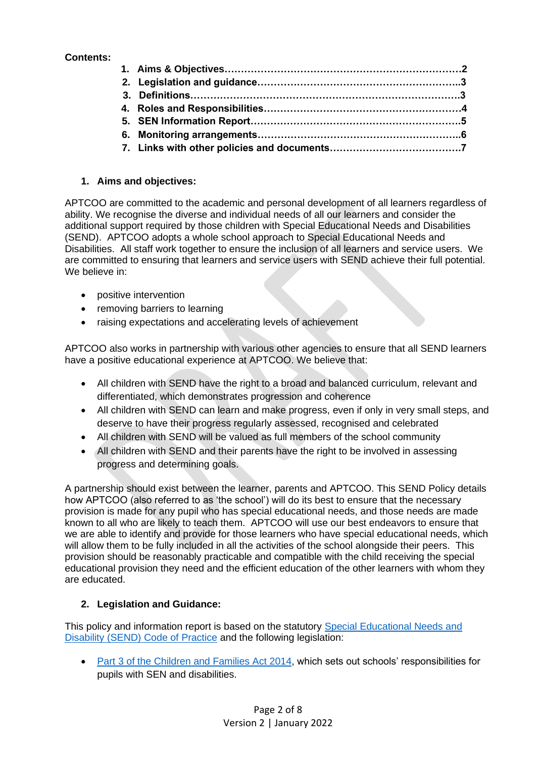## **Contents:**

### **1. Aims and objectives:**

APTCOO are committed to the academic and personal development of all learners regardless of ability. We recognise the diverse and individual needs of all our learners and consider the additional support required by those children with Special Educational Needs and Disabilities (SEND). APTCOO adopts a whole school approach to Special Educational Needs and Disabilities. All staff work together to ensure the inclusion of all learners and service users. We are committed to ensuring that learners and service users with SEND achieve their full potential. We believe in:

- positive intervention
- removing barriers to learning
- raising expectations and accelerating levels of achievement

APTCOO also works in partnership with various other agencies to ensure that all SEND learners have a positive educational experience at APTCOO. We believe that:

- All children with SEND have the right to a broad and balanced curriculum, relevant and differentiated, which demonstrates progression and coherence
- All children with SEND can learn and make progress, even if only in very small steps, and deserve to have their progress regularly assessed, recognised and celebrated
- All children with SEND will be valued as full members of the school community
- All children with SEND and their parents have the right to be involved in assessing progress and determining goals.

A partnership should exist between the learner, parents and APTCOO. This SEND Policy details how APTCOO (also referred to as 'the school') will do its best to ensure that the necessary provision is made for any pupil who has special educational needs, and those needs are made known to all who are likely to teach them. APTCOO will use our best endeavors to ensure that we are able to identify and provide for those learners who have special educational needs, which will allow them to be fully included in all the activities of the school alongside their peers. This provision should be reasonably practicable and compatible with the child receiving the special educational provision they need and the efficient education of the other learners with whom they are educated.

### **2. Legislation and Guidance:**

This policy and information report is based on the statutory [Special Educational Needs and](https://www.gov.uk/government/publications/send-code-of-practice-0-to-25)  [Disability \(SEND\) Code of Practice](https://www.gov.uk/government/publications/send-code-of-practice-0-to-25) and the following legislation:

• [Part 3 of the Children and Families Act 2014,](https://www.legislation.gov.uk/ukpga/2014/6/part/3/enacted) which sets out schools' responsibilities for pupils with SEN and disabilities.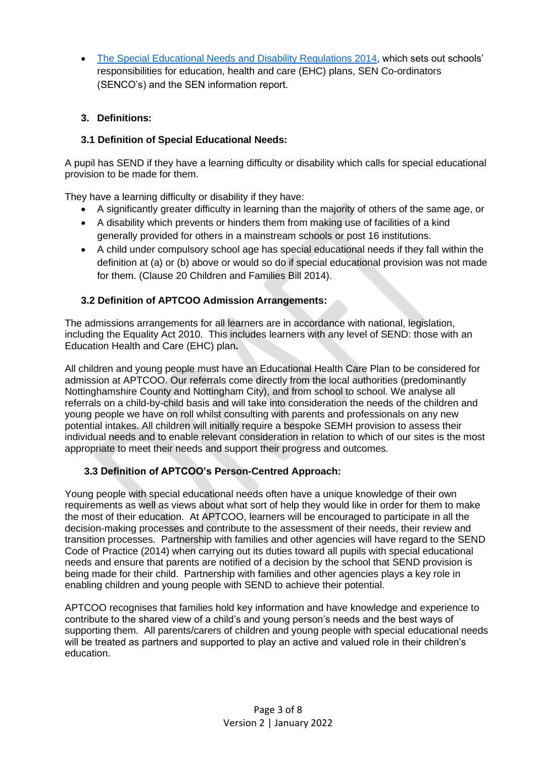• [The Special Educational Needs and Disability Regulations 2014,](https://www.legislation.gov.uk/uksi/2014/1530/pdfs/uksi_20141530_en.pdf) which sets out schools' responsibilities for education, health and care (EHC) plans, SEN Co-ordinators (SENCO's) and the SEN information report.

## **3. Definitions:**

## **3.1 Definition of Special Educational Needs:**

A pupil has SEND if they have a learning difficulty or disability which calls for special educational provision to be made for them.

They have a learning difficulty or disability if they have:

- A significantly greater difficulty in learning than the majority of others of the same age, or
- A disability which prevents or hinders them from making use of facilities of a kind generally provided for others in a mainstream schools or post 16 institutions.
- A child under compulsory school age has special educational needs if they fall within the definition at (a) or (b) above or would so do if special educational provision was not made for them. (Clause 20 Children and Families Bill 2014).

## **3.2 Definition of APTCOO Admission Arrangements:**

The admissions arrangements for all learners are in accordance with national, legislation, including the Equality Act 2010. This includes learners with any level of SEND: those with an Education Health and Care (EHC) plan**.**

All children and young people must have an Educational Health Care Plan to be considered for admission at APTCOO. Our referrals come directly from the local authorities (predominantly Nottinghamshire County and Nottingham City), and from school to school. We analyse all referrals on a child-by-child basis and will take into consideration the needs of the children and young people we have on roll whilst consulting with parents and professionals on any new potential intakes. All children will initially require a bespoke SEMH provision to assess their individual needs and to enable relevant consideration in relation to which of our sites is the most appropriate to meet their needs and support their progress and outcomes.

# **3.3 Definition of APTCOO's Person-Centred Approach:**

Young people with special educational needs often have a unique knowledge of their own requirements as well as views about what sort of help they would like in order for them to make the most of their education. At APTCOO, learners will be encouraged to participate in all the decision-making processes and contribute to the assessment of their needs, their review and transition processes. Partnership with families and other agencies will have regard to the SEND Code of Practice (2014) when carrying out its duties toward all pupils with special educational needs and ensure that parents are notified of a decision by the school that SEND provision is being made for their child. Partnership with families and other agencies plays a key role in enabling children and young people with SEND to achieve their potential.

APTCOO recognises that families hold key information and have knowledge and experience to contribute to the shared view of a child's and young person's needs and the best ways of supporting them. All parents/carers of children and young people with special educational needs will be treated as partners and supported to play an active and valued role in their children's education.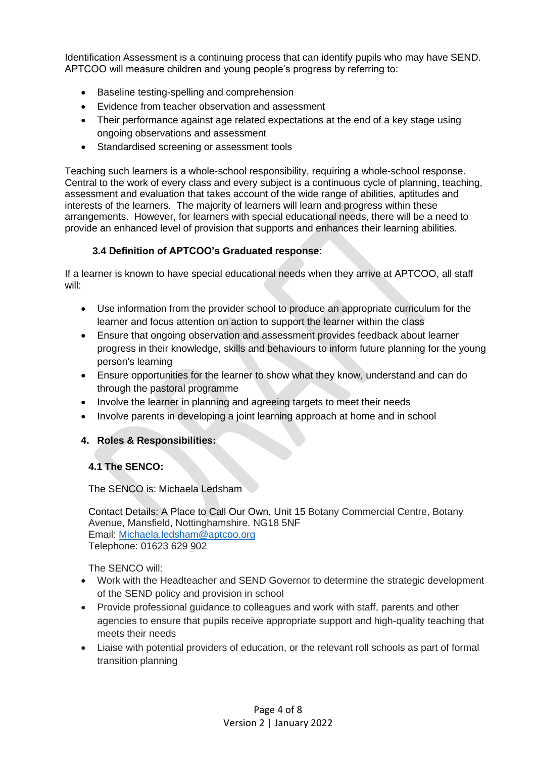Identification Assessment is a continuing process that can identify pupils who may have SEND. APTCOO will measure children and young people's progress by referring to:

- Baseline testing-spelling and comprehension
- Evidence from teacher observation and assessment
- Their performance against age related expectations at the end of a key stage using ongoing observations and assessment
- Standardised screening or assessment tools

Teaching such learners is a whole-school responsibility, requiring a whole-school response. Central to the work of every class and every subject is a continuous cycle of planning, teaching, assessment and evaluation that takes account of the wide range of abilities, aptitudes and interests of the learners. The majority of learners will learn and progress within these arrangements. However, for learners with special educational needs, there will be a need to provide an enhanced level of provision that supports and enhances their learning abilities.

### **3.4 Definition of APTCOO's Graduated response**:

If a learner is known to have special educational needs when they arrive at APTCOO, all staff will:

- Use information from the provider school to produce an appropriate curriculum for the learner and focus attention on action to support the learner within the class
- Ensure that ongoing observation and assessment provides feedback about learner progress in their knowledge, skills and behaviours to inform future planning for the young person's learning
- Ensure opportunities for the learner to show what they know, understand and can do through the pastoral programme
- Involve the learner in planning and agreeing targets to meet their needs
- Involve parents in developing a joint learning approach at home and in school

### **4. Roles & Responsibilities:**

### **4.1 The SENCO:**

The SENCO is: Michaela Ledsham

Contact Details: A Place to Call Our Own, Unit 15 Botany Commercial Centre, Botany Avenue, Mansfield, Nottinghamshire. NG18 5NF Email: [Michaela.ledsham@aptcoo.org](mailto:Michaela.ledsham@aptcoo.org) Telephone: 01623 629 902

The SENCO will:

- Work with the Headteacher and SEND Governor to determine the strategic development of the SEND policy and provision in school
- Provide professional guidance to colleagues and work with staff, parents and other agencies to ensure that pupils receive appropriate support and high-quality teaching that meets their needs
- Liaise with potential providers of education, or the relevant roll schools as part of formal transition planning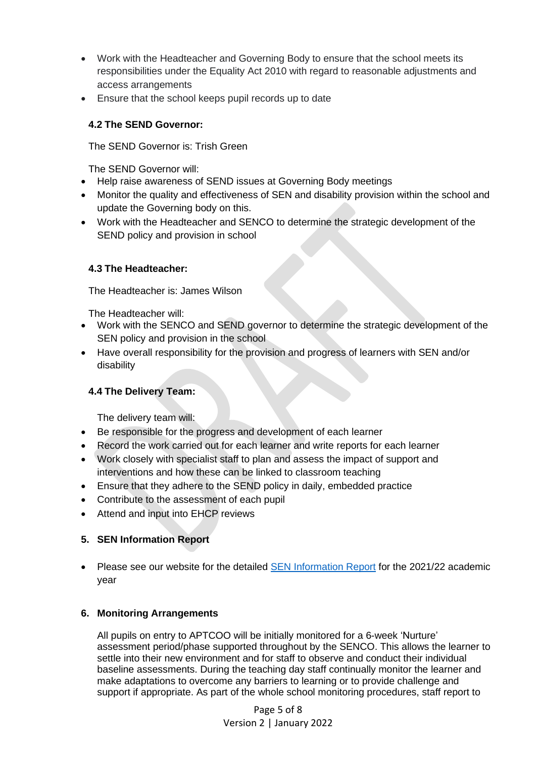- Work with the Headteacher and Governing Body to ensure that the school meets its responsibilities under the Equality Act 2010 with regard to reasonable adjustments and access arrangements
- Ensure that the school keeps pupil records up to date

## **4.2 The SEND Governor:**

The SEND Governor is: Trish Green

The SEND Governor will:

- Help raise awareness of SEND issues at Governing Body meetings
- Monitor the quality and effectiveness of SEN and disability provision within the school and update the Governing body on this.
- Work with the Headteacher and SENCO to determine the strategic development of the SEND policy and provision in school

## **4.3 The Headteacher:**

The Headteacher is: James Wilson

The Headteacher will:

- Work with the SENCO and SEND governor to determine the strategic development of the SEN policy and provision in the school
- Have overall responsibility for the provision and progress of learners with SEN and/or disability

# **4.4 The Delivery Team:**

The delivery team will:

- Be responsible for the progress and development of each learner
- Record the work carried out for each learner and write reports for each learner
- Work closely with specialist staff to plan and assess the impact of support and interventions and how these can be linked to classroom teaching
- Ensure that they adhere to the SEND policy in daily, embedded practice
- Contribute to the assessment of each pupil
- Attend and input into EHCP reviews

# **5. SEN Information Report**

• Please see our website for the detailed **SEN Information Report** for the 2021/22 academic year

# **6. Monitoring Arrangements**

All pupils on entry to APTCOO will be initially monitored for a 6-week 'Nurture' assessment period/phase supported throughout by the SENCO. This allows the learner to settle into their new environment and for staff to observe and conduct their individual baseline assessments. During the teaching day staff continually monitor the learner and make adaptations to overcome any barriers to learning or to provide challenge and support if appropriate. As part of the whole school monitoring procedures, staff report to

> Page 5 of 8 Version 2 | January 2022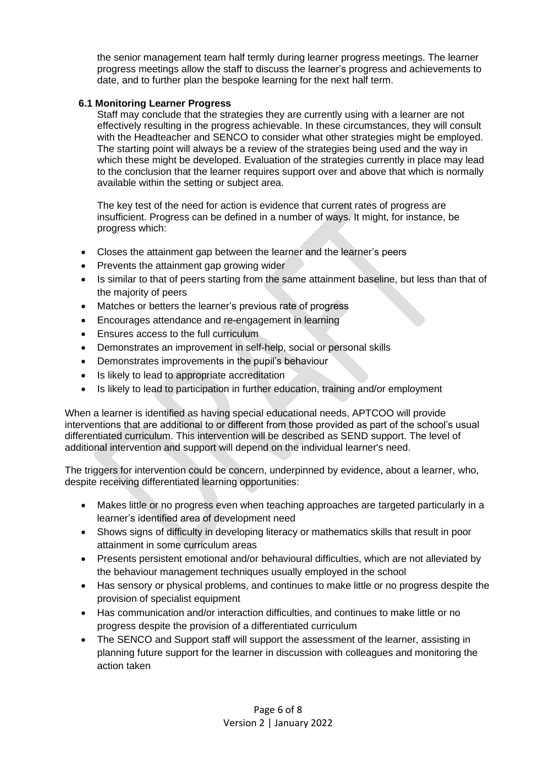the senior management team half termly during learner progress meetings. The learner progress meetings allow the staff to discuss the learner's progress and achievements to date, and to further plan the bespoke learning for the next half term.

#### **6.1 Monitoring Learner Progress**

Staff may conclude that the strategies they are currently using with a learner are not effectively resulting in the progress achievable. In these circumstances, they will consult with the Headteacher and SENCO to consider what other strategies might be employed. The starting point will always be a review of the strategies being used and the way in which these might be developed. Evaluation of the strategies currently in place may lead to the conclusion that the learner requires support over and above that which is normally available within the setting or subject area.

The key test of the need for action is evidence that current rates of progress are insufficient. Progress can be defined in a number of ways. It might, for instance, be progress which:

- Closes the attainment gap between the learner and the learner's peers
- Prevents the attainment gap growing wider
- Is similar to that of peers starting from the same attainment baseline, but less than that of the majority of peers
- Matches or betters the learner's previous rate of progress
- Encourages attendance and re-engagement in learning
- Ensures access to the full curriculum
- Demonstrates an improvement in self-help, social or personal skills
- Demonstrates improvements in the pupil's behaviour
- Is likely to lead to appropriate accreditation
- Is likely to lead to participation in further education, training and/or employment

When a learner is identified as having special educational needs, APTCOO will provide interventions that are additional to or different from those provided as part of the school's usual differentiated curriculum. This intervention will be described as SEND support. The level of additional intervention and support will depend on the individual learner's need.

The triggers for intervention could be concern, underpinned by evidence, about a learner, who, despite receiving differentiated learning opportunities:

- Makes little or no progress even when teaching approaches are targeted particularly in a learner's identified area of development need
- Shows signs of difficulty in developing literacy or mathematics skills that result in poor attainment in some curriculum areas
- Presents persistent emotional and/or behavioural difficulties, which are not alleviated by the behaviour management techniques usually employed in the school
- Has sensory or physical problems, and continues to make little or no progress despite the provision of specialist equipment
- Has communication and/or interaction difficulties, and continues to make little or no progress despite the provision of a differentiated curriculum
- The SENCO and Support staff will support the assessment of the learner, assisting in planning future support for the learner in discussion with colleagues and monitoring the action taken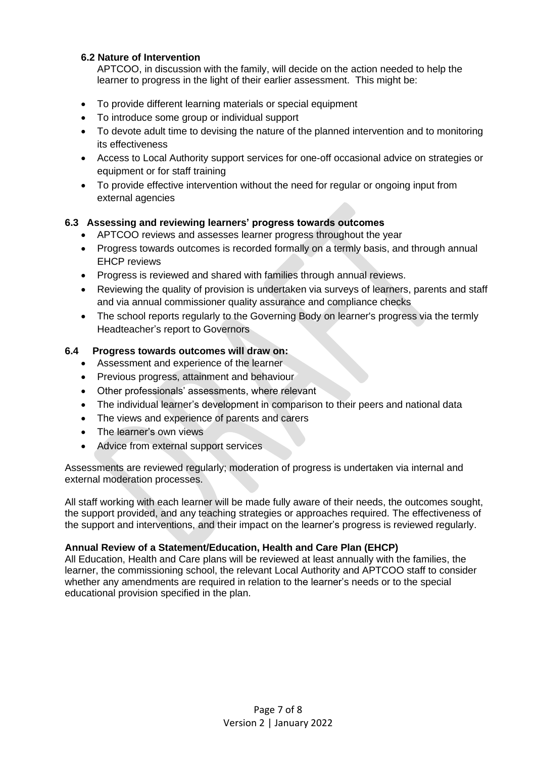#### **6.2 Nature of Intervention**

APTCOO, in discussion with the family, will decide on the action needed to help the learner to progress in the light of their earlier assessment. This might be:

- To provide different learning materials or special equipment
- To introduce some group or individual support
- To devote adult time to devising the nature of the planned intervention and to monitoring its effectiveness
- Access to Local Authority support services for one-off occasional advice on strategies or equipment or for staff training
- To provide effective intervention without the need for regular or ongoing input from external agencies

#### **6.3 Assessing and reviewing learners' progress towards outcomes**

- APTCOO reviews and assesses learner progress throughout the year
- Progress towards outcomes is recorded formally on a termly basis, and through annual EHCP reviews
- Progress is reviewed and shared with families through annual reviews.
- Reviewing the quality of provision is undertaken via surveys of learners, parents and staff and via annual commissioner quality assurance and compliance checks
- The school reports regularly to the Governing Body on learner's progress via the termly Headteacher's report to Governors

#### **6.4 Progress towards outcomes will draw on:**

- Assessment and experience of the learner
- Previous progress, attainment and behaviour
- Other professionals' assessments, where relevant
- The individual learner's development in comparison to their peers and national data
- The views and experience of parents and carers
- The learner's own views
- Advice from external support services

Assessments are reviewed regularly; moderation of progress is undertaken via internal and external moderation processes.

All staff working with each learner will be made fully aware of their needs, the outcomes sought, the support provided, and any teaching strategies or approaches required. The effectiveness of the support and interventions, and their impact on the learner's progress is reviewed regularly.

#### **Annual Review of a Statement/Education, Health and Care Plan (EHCP)**

All Education, Health and Care plans will be reviewed at least annually with the families, the learner, the commissioning school, the relevant Local Authority and APTCOO staff to consider whether any amendments are required in relation to the learner's needs or to the special educational provision specified in the plan.